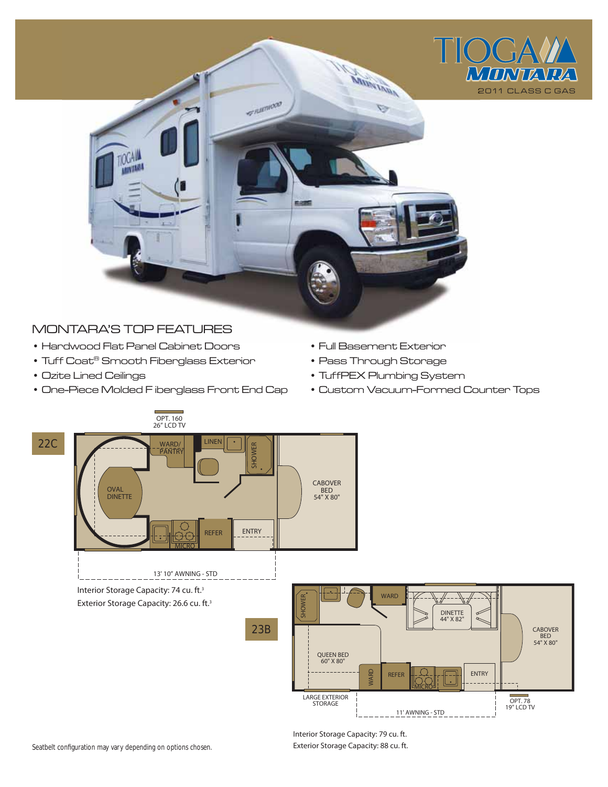

# MONTARA'S TOP FEATURES

- Hardwood Flat Panel Cabinet Doors
- Tuff Coat® Smooth Fiberglass Exterior
- Ozite Lined Ceilings
- One-Piece Molded F iberglass Front End Cap
- Full Basement Exterior
- Pass Through Storage
- TuffPEX Plumbing System
- Custom Vacuum-Formed Counter Tops



Interior Storage Capacity: 79 cu. ft. Exterior Storage Capacity: 88 cu. ft.